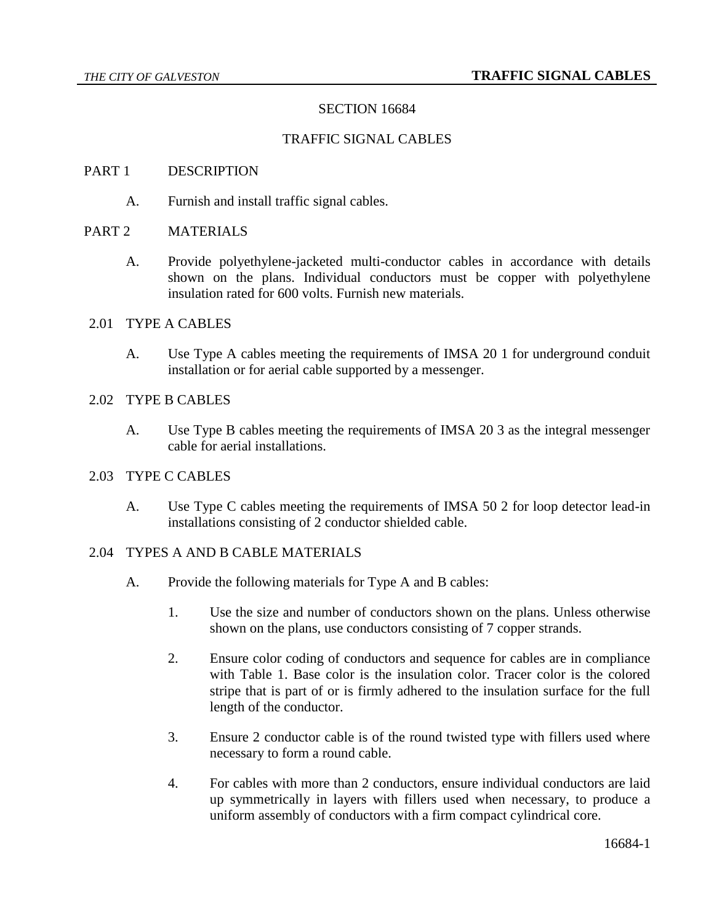# SECTION 16684

#### TRAFFIC SIGNAL CABLES

#### PART 1 DESCRIPTION

A. Furnish and install traffic signal cables.

### PART 2 MATERIALS

A. Provide polyethylene-jacketed multi-conductor cables in accordance with details shown on the plans. Individual conductors must be copper with polyethylene insulation rated for 600 volts. Furnish new materials.

#### 2.01 TYPE A CABLES

A. Use Type A cables meeting the requirements of IMSA 20 1 for underground conduit installation or for aerial cable supported by a messenger.

# 2.02 TYPE B CABLES

A. Use Type B cables meeting the requirements of IMSA 20 3 as the integral messenger cable for aerial installations.

#### 2.03 TYPE C CABLES

A. Use Type C cables meeting the requirements of IMSA 50 2 for loop detector lead-in installations consisting of 2 conductor shielded cable.

# 2.04 TYPES A AND B CABLE MATERIALS

- A. Provide the following materials for Type A and B cables:
	- 1. Use the size and number of conductors shown on the plans. Unless otherwise shown on the plans, use conductors consisting of 7 copper strands.
	- 2. Ensure color coding of conductors and sequence for cables are in compliance with Table 1. Base color is the insulation color. Tracer color is the colored stripe that is part of or is firmly adhered to the insulation surface for the full length of the conductor.
	- 3. Ensure 2 conductor cable is of the round twisted type with fillers used where necessary to form a round cable.
	- 4. For cables with more than 2 conductors, ensure individual conductors are laid up symmetrically in layers with fillers used when necessary, to produce a uniform assembly of conductors with a firm compact cylindrical core.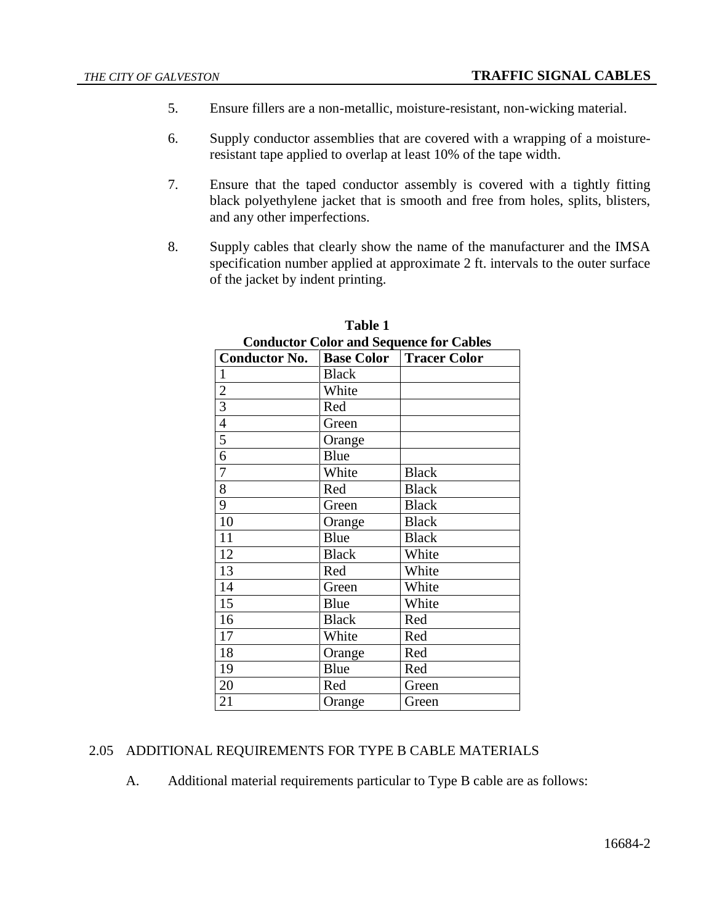- 5. Ensure fillers are a non-metallic, moisture-resistant, non-wicking material.
- 6. Supply conductor assemblies that are covered with a wrapping of a moistureresistant tape applied to overlap at least 10% of the tape width.
- 7. Ensure that the taped conductor assembly is covered with a tightly fitting black polyethylene jacket that is smooth and free from holes, splits, blisters, and any other imperfections.
- 8. Supply cables that clearly show the name of the manufacturer and the IMSA specification number applied at approximate 2 ft. intervals to the outer surface of the jacket by indent printing.

| Conductor Color and Sequence for Cables |                   |                     |
|-----------------------------------------|-------------------|---------------------|
| <b>Conductor No.</b>                    | <b>Base Color</b> | <b>Tracer Color</b> |
| $\mathbf{1}$                            | <b>Black</b>      |                     |
| $\overline{c}$                          | White             |                     |
| $\overline{3}$                          | Red               |                     |
| $\overline{4}$                          | Green             |                     |
| 5                                       | Orange            |                     |
| 6                                       | Blue              |                     |
| $\overline{7}$                          | White             | <b>Black</b>        |
| 8                                       | Red               | <b>Black</b>        |
| 9                                       | Green             | <b>Black</b>        |
| 10                                      | Orange            | <b>Black</b>        |
| 11                                      | Blue              | <b>Black</b>        |
| 12                                      | <b>Black</b>      | White               |
| 13                                      | Red               | White               |
| 14                                      | Green             | White               |
| 15                                      | Blue              | White               |
| 16                                      | <b>Black</b>      | Red                 |
| 17                                      | White             | Red                 |
| 18                                      | Orange            | Red                 |
| 19                                      | Blue              | Red                 |
| 20                                      | Red               | Green               |
| 21                                      | Orange            | Green               |

### **Table 1 Conductor Color and Sequence for Cables**

# 2.05 ADDITIONAL REQUIREMENTS FOR TYPE B CABLE MATERIALS

A. Additional material requirements particular to Type B cable are as follows: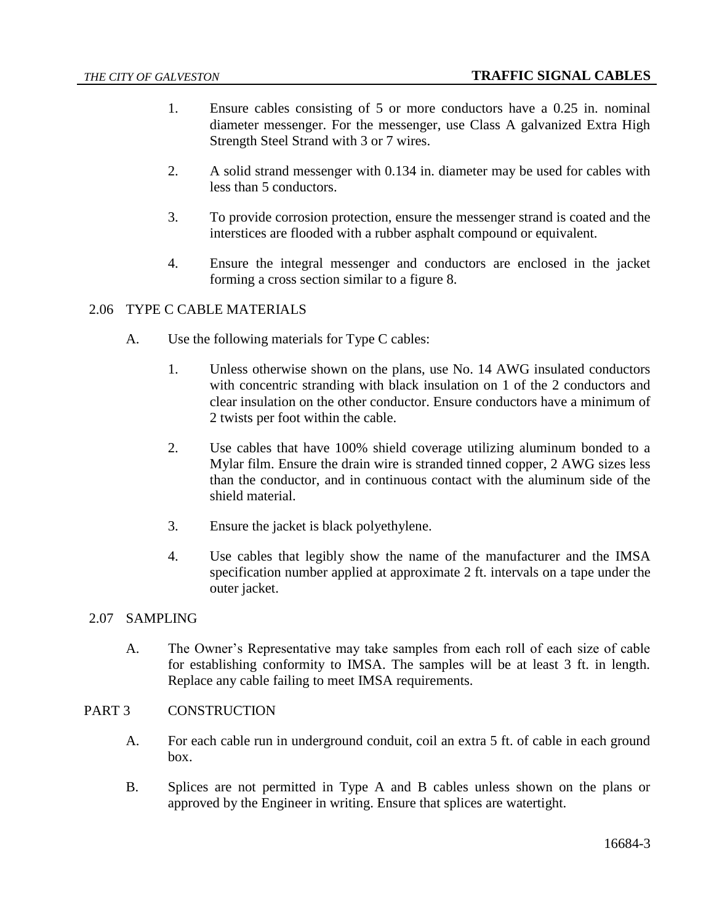- 1. Ensure cables consisting of 5 or more conductors have a 0.25 in. nominal diameter messenger. For the messenger, use Class A galvanized Extra High Strength Steel Strand with 3 or 7 wires.
- 2. A solid strand messenger with 0.134 in. diameter may be used for cables with less than 5 conductors.
- 3. To provide corrosion protection, ensure the messenger strand is coated and the interstices are flooded with a rubber asphalt compound or equivalent.
- 4. Ensure the integral messenger and conductors are enclosed in the jacket forming a cross section similar to a figure 8.

# 2.06 TYPE C CABLE MATERIALS

- A. Use the following materials for Type C cables:
	- 1. Unless otherwise shown on the plans, use No. 14 AWG insulated conductors with concentric stranding with black insulation on 1 of the 2 conductors and clear insulation on the other conductor. Ensure conductors have a minimum of 2 twists per foot within the cable.
	- 2. Use cables that have 100% shield coverage utilizing aluminum bonded to a Mylar film. Ensure the drain wire is stranded tinned copper, 2 AWG sizes less than the conductor, and in continuous contact with the aluminum side of the shield material.
	- 3. Ensure the jacket is black polyethylene.
	- 4. Use cables that legibly show the name of the manufacturer and the IMSA specification number applied at approximate 2 ft. intervals on a tape under the outer jacket.

# 2.07 SAMPLING

A. The Owner's Representative may take samples from each roll of each size of cable for establishing conformity to IMSA. The samples will be at least 3 ft. in length. Replace any cable failing to meet IMSA requirements.

# PART 3 CONSTRUCTION

- A. For each cable run in underground conduit, coil an extra 5 ft. of cable in each ground box.
- B. Splices are not permitted in Type A and B cables unless shown on the plans or approved by the Engineer in writing. Ensure that splices are watertight.